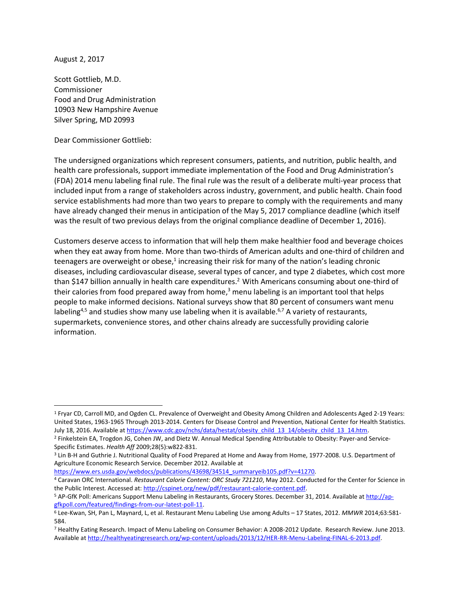August 2, 2017

l

Scott Gottlieb, M.D. Commissioner Food and Drug Administration 10903 New Hampshire Avenue Silver Spring, MD 20993

Dear Commissioner Gottlieb:

The undersigned organizations which represent consumers, patients, and nutrition, public health, and health care professionals, support immediate implementation of the Food and Drug Administration's (FDA) 2014 menu labeling final rule. The final rule was the result of a deliberate multi-year process that included input from a range of stakeholders across industry, government, and public health. Chain food service establishments had more than two years to prepare to comply with the requirements and many have already changed their menus in anticipation of the May 5, 2017 compliance deadline (which itself was the result of two previous delays from the original compliance deadline of December 1, 2016).

Customers deserve access to information that will help them make healthier food and beverage choices when they eat away from home. More than two-thirds of American adults and one-third of children and teenagers are overweight or obese,<sup>1</sup> increasing their risk for many of the nation's leading chronic diseases, including cardiovascular disease, several types of cancer, and type 2 diabetes, which cost more than \$147 billion annually in health care expenditures.<sup>2</sup> With Americans consuming about one-third of their calories from food prepared away from home,<sup>3</sup> menu labeling is an important tool that helps people to make informed decisions. National surveys show that 80 percent of consumers want menu labeling<sup>4,5</sup> and studies show many use labeling when it is available.<sup>6,7</sup> A variety of restaurants, supermarkets, convenience stores, and other chains already are successfully providing calorie information.

[https://www.ers.usda.gov/webdocs/publications/43698/34514\\_summaryeib105.pdf?v=41270.](https://www.ers.usda.gov/webdocs/publications/43698/34514_summaryeib105.pdf?v=41270)

<sup>1</sup> Fryar CD, Carroll MD, and Ogden CL. Prevalence of Overweight and Obesity Among Children and Adolescents Aged 2-19 Years: United States, 1963-1965 Through 2013-2014. Centers for Disease Control and Prevention, National Center for Health Statistics. July 18, 2016. Available a[t https://www.cdc.gov/nchs/data/hestat/obesity\\_child\\_13\\_14/obesity\\_child\\_13\\_14.htm.](https://www.cdc.gov/nchs/data/hestat/obesity_child_13_14/obesity_child_13_14.htm)

<sup>2</sup> Finkelstein EA, Trogdon JG, Cohen JW, and Dietz W. Annual Medical Spending Attributable to Obesity: Payer-and Service-Specific Estimates. *Health Aff* 2009;28(5):w822-831.

<sup>3</sup> Lin B-H and Guthrie J. Nutritional Quality of Food Prepared at Home and Away from Home, 1977-2008. U.S. Department of Agriculture Economic Research Service. December 2012. Available at

<sup>4</sup> Caravan ORC International. *Restaurant Calorie Content: ORC Study 721210*, May 2012. Conducted for the Center for Science in the Public Interest. Accessed at[: http://cspinet.org/new/pdf/restaurant-calorie-content.pdf.](http://cspinet.org/new/pdf/restaurant-calorie-content.pdf)

<sup>5</sup> AP-GfK Poll: Americans Support Menu Labeling in Restaurants, Grocery Stores. December 31, 2014. Available a[t http://ap](http://ap-gfkpoll.com/featured/findings-from-our-latest-poll-11)[gfkpoll.com/featured/findings-from-our-latest-poll-11.](http://ap-gfkpoll.com/featured/findings-from-our-latest-poll-11) 

<sup>6</sup> Lee-Kwan, SH, Pan L, Maynard, L, et al. Restaurant Menu Labeling Use among Adults – 17 States, 2012. *MMWR* 2014;63:581- 584.

<sup>7</sup> Healthy Eating Research. Impact of Menu Labeling on Consumer Behavior: A 2008-2012 Update. Research Review. June 2013. Available a[t http://healthyeatingresearch.org/wp-content/uploads/2013/12/HER-RR-Menu-Labeling-FINAL-6-2013.pdf.](http://healthyeatingresearch.org/wp-content/uploads/2013/12/HER-RR-Menu-Labeling-FINAL-6-2013.pdf)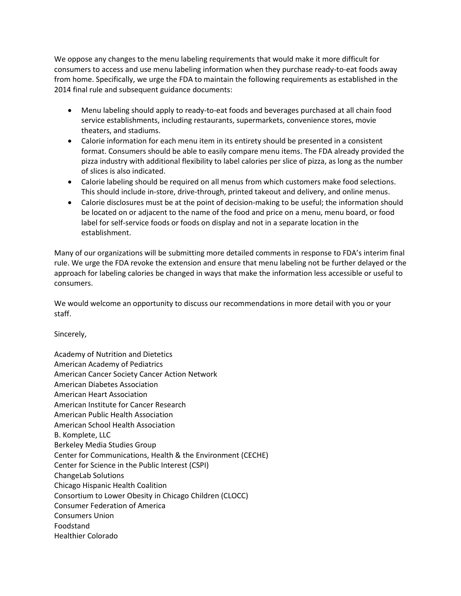We oppose any changes to the menu labeling requirements that would make it more difficult for consumers to access and use menu labeling information when they purchase ready-to-eat foods away from home. Specifically, we urge the FDA to maintain the following requirements as established in the 2014 final rule and subsequent guidance documents:

- Menu labeling should apply to ready-to-eat foods and beverages purchased at all chain food service establishments, including restaurants, supermarkets, convenience stores, movie theaters, and stadiums.
- Calorie information for each menu item in its entirety should be presented in a consistent format. Consumers should be able to easily compare menu items. The FDA already provided the pizza industry with additional flexibility to label calories per slice of pizza, as long as the number of slices is also indicated.
- Calorie labeling should be required on all menus from which customers make food selections. This should include in-store, drive-through, printed takeout and delivery, and online menus.
- Calorie disclosures must be at the point of decision-making to be useful; the information should be located on or adjacent to the name of the food and price on a menu, menu board, or food label for self-service foods or foods on display and not in a separate location in the establishment.

Many of our organizations will be submitting more detailed comments in response to FDA's interim final rule. We urge the FDA revoke the extension and ensure that menu labeling not be further delayed or the approach for labeling calories be changed in ways that make the information less accessible or useful to consumers.

We would welcome an opportunity to discuss our recommendations in more detail with you or your staff.

Sincerely,

| <b>Academy of Nutrition and Dietetics</b>                   |
|-------------------------------------------------------------|
| <b>American Academy of Pediatrics</b>                       |
| American Cancer Society Cancer Action Network               |
| <b>American Diabetes Association</b>                        |
| American Heart Association                                  |
| American Institute for Cancer Research                      |
| American Public Health Association                          |
| American School Health Association                          |
| B. Komplete, LLC                                            |
| <b>Berkeley Media Studies Group</b>                         |
| Center for Communications, Health & the Environment (CECHE) |
| Center for Science in the Public Interest (CSPI)            |
| <b>ChangeLab Solutions</b>                                  |
| Chicago Hispanic Health Coalition                           |
| Consortium to Lower Obesity in Chicago Children (CLOCC)     |
| <b>Consumer Federation of America</b>                       |
| <b>Consumers Union</b>                                      |
| Foodstand                                                   |
| <b>Healthier Colorado</b>                                   |
|                                                             |